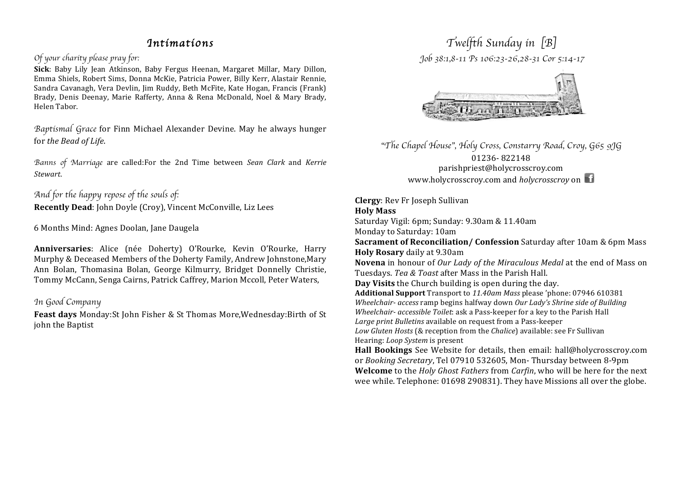## *Intimati0ns*

#### *Of your charity please pray for:*

Sick: Baby Lily Jean Atkinson, Baby Fergus Heenan, Margaret Millar, Mary Dillon, Emma Shiels, Robert Sims, Donna McKie, Patricia Power, Billy Kerr, Alastair Rennie, Sandra Cavanagh, Vera Devlin, Jim Ruddy, Beth McFite, Kate Hogan, Francis (Frank) Brady, Denis Deenay, Marie Rafferty, Anna & Rena McDonald, Noel & Mary Brady, Helen Tabor.

Baptismal Grace for Finn Michael Alexander Devine. May he always hunger for the Bead of Life.

*Banns of Marriage* are" called:For" the" 2nd" Time" between" *Sean\$ Clark*" and" *Kerrie Stewart*.

### *And for the happy repose of the souls of:* **Recently Dead: John Doyle (Croy), Vincent McConville, Liz Lees**

6 Months Mind: Agnes Doolan, Jane Daugela

**Anniversaries**: Alice" (née" Doherty)" O'Rourke," Kevin" O'Rourke," Harry" Murphy & Deceased Members of the Doherty Family, Andrew Johnstone, Mary Ann Bolan, Thomasina Bolan, George Kilmurry, Bridget Donnelly Christie, Tommy McCann, Senga Cairns, Patrick Caffrey, Marion Mccoll, Peter Waters,

### *In Good Company*

**Feast days** Monday:St John Fisher & St Thomas More, Wednesday:Birth of St john the Baptist

# *Twelfth Sunday in* [*B*]  *Job 38:1,8-11 Ps 106:23-26,28-31 Cor 5:14-17*



"*The Chapel House*"*, Holy Cross, Constarry Road, Croy, G65 9JG* 01236-822148 parishpriest@holycrosscroy.com www.holycrosscroy.com and *holycrosscroy* on

**Clergy**: Rev Fr Joseph Sullivan **Holy+Mass**

Saturday Vigil: 6pm; Sunday: 9.30am & 11.40am Monday to Saturday: 10am

**Sacrament of Reconciliation/ Confession** Saturday after 10am & 6pm Mass **Holy Rosary** daily at 9.30am

**Novena** in honour of *Our Lady of the Miraculous Medal* at the end of Mass on Tuesdays. *Teg & Toast* after Mass in the Parish Hall.

**Day Visits** the Church building is open during the day.

**Additional+Support**"Transport"to"*11.40am\$Mass*"please"'phone:"07946"610381 *Wheelchair- access* ramp begins halfway down *Our Lady's Shrine side of Building Wheelchair- accessible Toilet: ask a Pass-keeper for a key to the Parish Hall* Large print Bulletins available on request from a Pass-keeper

*Low Gluten Hosts* (& reception from the *Chalice*) available: see Fr Sullivan Hearing: *Loop System* is present

Hall Bookings See Website for details, then email: hall@holycrosscroy.com or *Booking Secretary*, Tel 07910 532605, Mon-Thursday between 8-9pm **Welcome** to the *Holy Ghost Fathers* from *Carfin*, who will be here for the next wee while. Telephone: 01698 290831). They have Missions all over the globe.